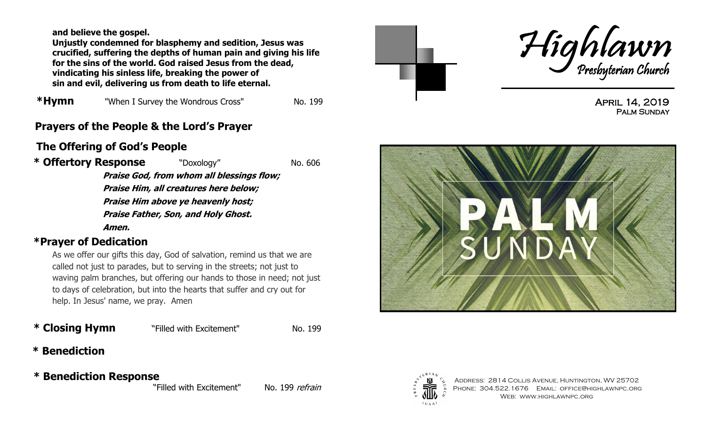**and believe the gospel.** 

**Unjustly condemned for blasphemy and sedition, Jesus was crucified, suffering the depths of human pain and giving his life for the sins of the world. God raised Jesus from the dead, vindicating his sinless life, breaking the power of sin and evil, delivering us from death to life eternal.** 

**\*Hymn** "When I Survey the Wondrous Cross" No. 199

## **Prayers of the People & the Lord's Prayer**

# **The Offering of God's People**

**\* Offertory Response** "Doxology" No. 606 **Praise God, from whom all blessings flow; Praise Him, all creatures here below; Praise Him above ye heavenly host;** 

**Praise Father, Son, and Holy Ghost.** 

**Amen.**

### **\*Prayer of Dedication**

As we offer our gifts this day, God of salvation, remind us that we are called not just to parades, but to serving in the streets; not just to waving palm branches, but offering our hands to those in need; not just to days of celebration, but into the hearts that suffer and cry out for help. In Jesus' name, we pray. Amen

#### **\* Closing Hymn** "Filled with Excitement" No. 199

## **\* Benediction**

 **\* Benediction Response**

"Filled with Excitement" No. 199 refrain





April 14, 2019 PALM SUNDAY